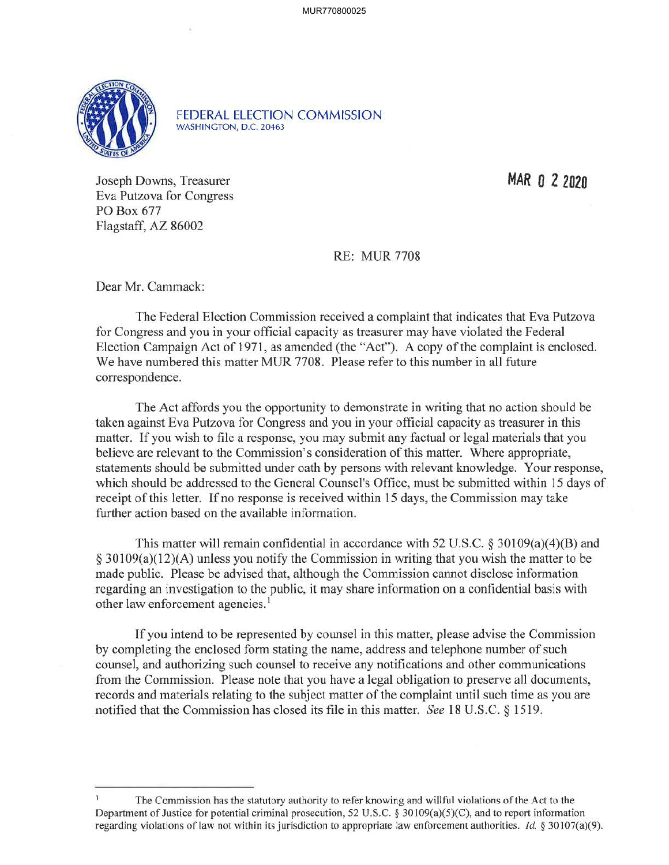

FEDERAL ELECTION COMMISSION WASHINGTON, D.C. 20463

Joseph Downs, Treasurer Eva Putzova for Congress PO Box 677 Flagstaff, AZ 86002

**MAR O 2 2020** 

RE: MUR 7708

Dear Mr. Cammack:

The Federal Election Commission received a complaint that indicates that Eva Putzova for Congress and you in your official capacity as treasurer may have violated the Federal Election Campaign Act of 1971, as amended (the "Act"). A copy of the complaint is enclosed. We have numbered this matter MUR 7708. Please refer to this number in all future correspondence.

The Act affords you the opportunity to demonstrate in writing that no action should be taken against Eva Putzova for Congress and you in your official capacity as treasurer in this matter. If you wish to file a response, you may submit any factual or legal materials that you believe are relevant to the Commission's consideration of this matter. Where appropriate, statements should be submitted under oath by persons with relevant knowledge. Your response, which should be addressed to the General Counsel's Office, must be submitted within 15 days of receipt of this letter. If no response is received within 15 days, the Commission may take further action based on the available information.

This matter will remain confidential in accordance with 52 U.S.C.  $\S 30109(a)(4)(B)$  and § 30109(a)(12)(A) unless you notify the Commission in writing that you wish the matter to be made public. Please be advised that, although the Commission cannot disclose information regarding an investigation to the public, it may share information on a confidential basis with other law enforcement agencies.<sup>1</sup>

If you intend to be represented by counsel in this matter, please advise the Commission by completing the enclosed form stating the name, address and telephone number of such counsel, and authorizing such counsel to receive any notifications and other communications from the Commission. Please note that you have a legal obligation to preserve all documents, records and materials relating to the subject matter of the complaint until such time as you are notified that the Commission has closed its file in this matter. *See* 18 U.S.C. § 1519.

The Commission has the statutory authority to refer knowing and willful violations of the Act to the Department of Justice for potential criminal prosecution, 52 U.S.C. § 30 I 09(a)(5)(C), and to report information regarding violations of law not within its jurisdiction to appropriate law enforcement authorities. *Id.* § 30107(a)(9).